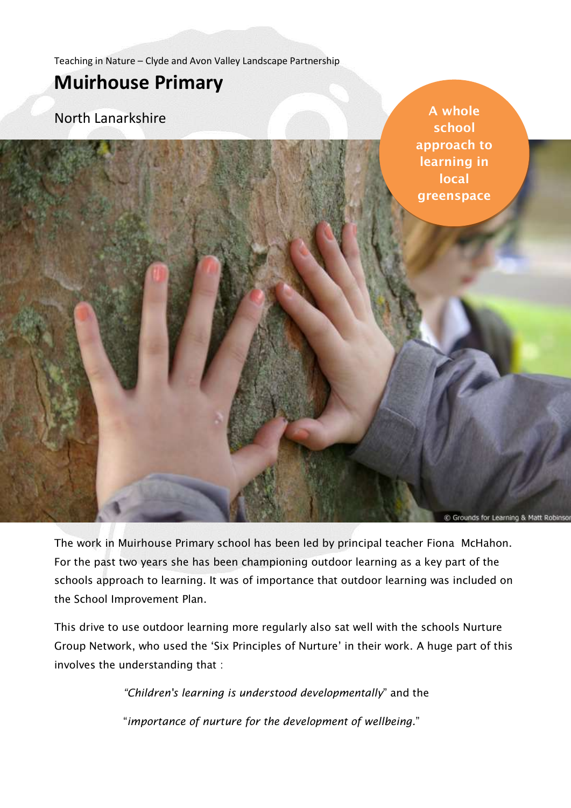Teaching in Nature – Clyde and Avon Valley Landscape Partnership

# **Muirhouse Primary**

North Lanarkshire

**A whole school approach to learning in local greenspace**

Grounds for Learning

The work in Muirhouse Primary school has been led by principal teacher Fiona McHahon. For the past two years she has been championing outdoor learning as a key part of the schools approach to learning. It was of importance that outdoor learning was included on the School Improvement Plan.

This drive to use outdoor learning more regularly also sat well with the schools Nurture Group Network, who used the 'Six Principles of Nurture' in their work. A huge part of this involves the understanding that :

> *"Children's learning is understood developmentally*" and the "*importance of nurture for the development of wellbeing.*"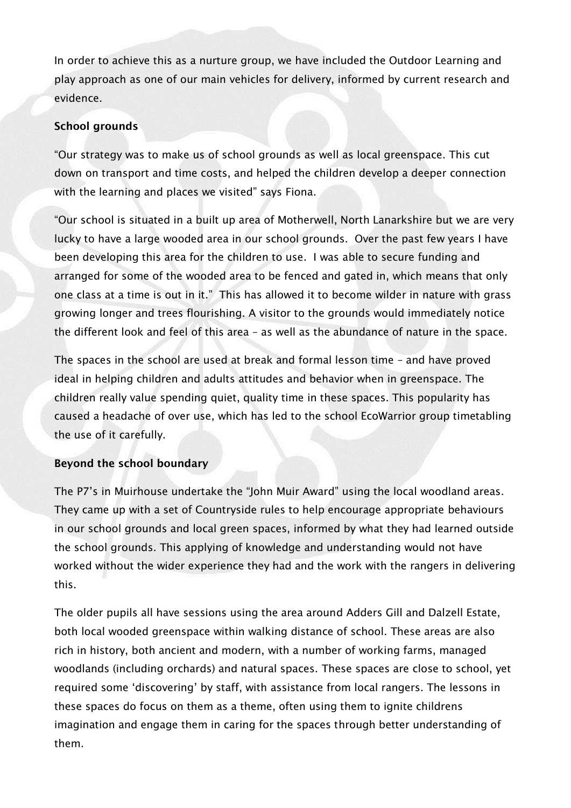In order to achieve this as a nurture group, we have included the Outdoor Learning and play approach as one of our main vehicles for delivery, informed by current research and evidence.

### **School grounds**

"Our strategy was to make us of school grounds as well as local greenspace. This cut down on transport and time costs, and helped the children develop a deeper connection with the learning and places we visited" says Fiona.

"Our school is situated in a built up area of Motherwell, North Lanarkshire but we are very lucky to have a large wooded area in our school grounds. Over the past few years I have been developing this area for the children to use. I was able to secure funding and arranged for some of the wooded area to be fenced and gated in, which means that only one class at a time is out in it." This has allowed it to become wilder in nature with grass growing longer and trees flourishing. A visitor to the grounds would immediately notice the different look and feel of this area – as well as the abundance of nature in the space.

The spaces in the school are used at break and formal lesson time – and have proved ideal in helping children and adults attitudes and behavior when in greenspace. The children really value spending quiet, quality time in these spaces. This popularity has caused a headache of over use, which has led to the school EcoWarrior group timetabling the use of it carefully.

# **Beyond the school boundary**

The P7's in Muirhouse undertake the "John Muir Award" using the local woodland areas. They came up with a set of Countryside rules to help encourage appropriate behaviours in our school grounds and local green spaces, informed by what they had learned outside the school grounds. This applying of knowledge and understanding would not have worked without the wider experience they had and the work with the rangers in delivering this.

The older pupils all have sessions using the area around Adders Gill and Dalzell Estate, both local wooded greenspace within walking distance of school. These areas are also rich in history, both ancient and modern, with a number of working farms, managed woodlands (including orchards) and natural spaces. These spaces are close to school, yet required some 'discovering' by staff, with assistance from local rangers. The lessons in these spaces do focus on them as a theme, often using them to ignite childrens imagination and engage them in caring for the spaces through better understanding of them.